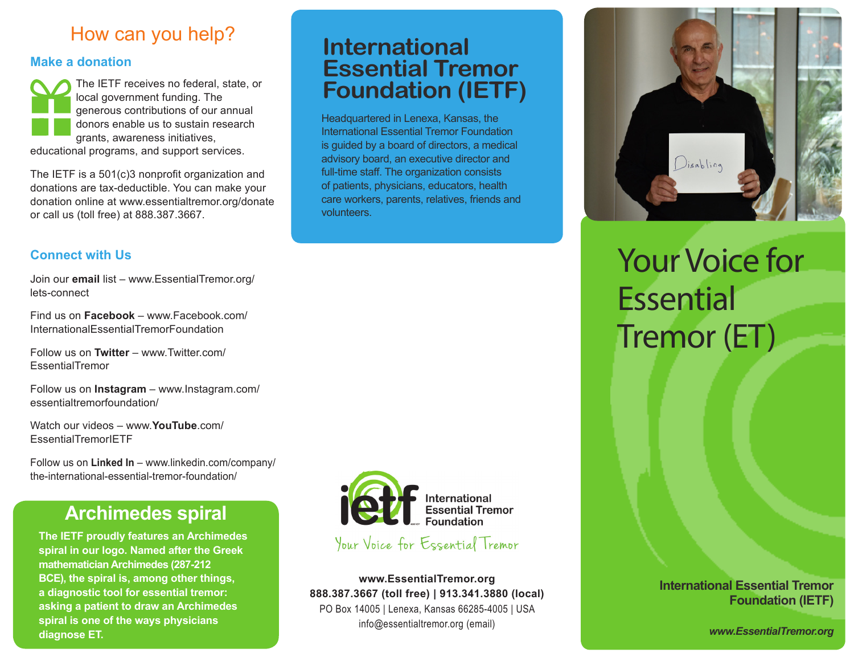## How can you help?

#### **Make a donation**

The IETF receives no federal, state, or local government funding. The generous contributions of our annual donors enable us to sustain research grants, awareness initiatives, educational programs, and support services.

The IETF is a 501(c)3 nonprofit organization and donations are tax-deductible. You can make your donation online at www.essentialtremor.org/donate or call us (toll free) at 888.387.3667.

#### **Connect with Us**

Join our **email** list – www.EssentialTremor.org/ lets-connect

Find us on **Facebook** – www.Facebook.com/ InternationalEssentialTremorFoundation

Follow us on **Twitter** – www.Twitter.com/ EssentialTremor

Follow us on **Instagram** – www.Instagram.com/ essentialtremorfoundation/

Watch our videos – www.**YouTube**.com/ EssentialTremorIETF

Follow us on **Linked In** – www.linkedin.com/company/ the-international-essential-tremor-foundation/

## **Archimedes spiral**

**The IETF proudly features an Archimedes spiral in our logo. Named after the Greek mathematician Archimedes (287-212 BCE), the spiral is, among other things, a diagnostic tool for essential tremor: asking a patient to draw an Archimedes spiral is one of the ways physicians diagnose ET.**



Headquartered in Lenexa, Kansas, the International Essential Tremor Foundation is guided by a board of directors, a medical advisory board, an executive director and full-time staff. The organization consists of patients, physicians, educators, health care workers, parents, relatives, friends and

**Essential Tremor** 

**Foundation (IETF)**

**International** 

volunteers.

Your Voice for Essential Tremor

**www.EssentialTremor.org 888.387.3667 (toll free) | 913.341.3880 (local)** PO Box 14005 | Lenexa, Kansas 66285-4005 | USA info@essentialtremor.org (email)



# Your Voice for Essential Tremor (ET)

#### **International Essential Tremor Foundation (IETF)**

*www.EssentialTremor.org*